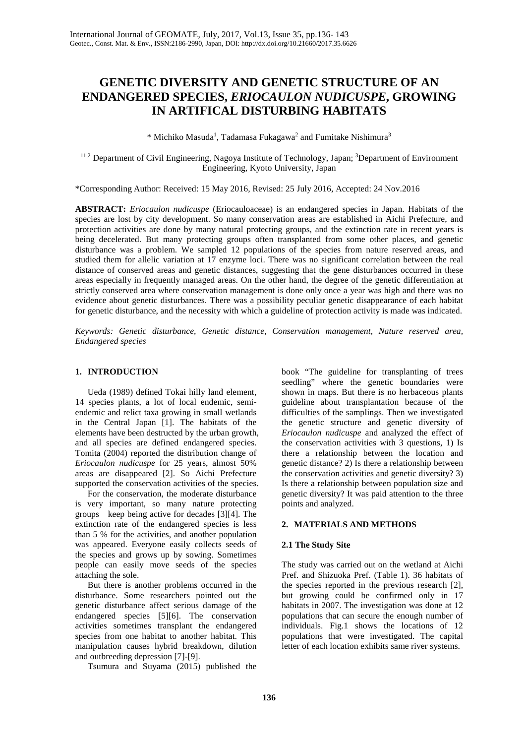# **GENETIC DIVERSITY AND GENETIC STRUCTURE OF AN ENDANGERED SPECIES,** *ERIOCAULON NUDICUSPE***, GROWING IN ARTIFICAL DISTURBING HABITATS**

\* Michiko Masuda<sup>1</sup>, Tadamasa Fukagawa<sup>2</sup> and Fumitake Nishimura<sup>3</sup>

<sup>11,2</sup> Department of Civil Engineering, Nagoya Institute of Technology, Japan; <sup>3</sup>Department of Environment Engineering, Kyoto University, Japan

\*Corresponding Author: Received: 15 May 2016, Revised: 25 July 2016, Accepted: 24 Nov.2016

**ABSTRACT:** *Eriocaulon nudicuspe* (Eriocauloaceae) is an endangered species in Japan. Habitats of the species are lost by city development. So many conservation areas are established in Aichi Prefecture, and protection activities are done by many natural protecting groups, and the extinction rate in recent years is being decelerated. But many protecting groups often transplanted from some other places, and genetic disturbance was a problem. We sampled 12 populations of the species from nature reserved areas, and studied them for allelic variation at 17 enzyme loci. There was no significant correlation between the real distance of conserved areas and genetic distances, suggesting that the gene disturbances occurred in these areas especially in frequently managed areas. On the other hand, the degree of the genetic differentiation at strictly conserved area where conservation management is done only once a year was high and there was no evidence about genetic disturbances. There was a possibility peculiar genetic disappearance of each habitat for genetic disturbance, and the necessity with which a guideline of protection activity is made was indicated.

*Keywords: Genetic disturbance, Genetic distance, Conservation management, Nature reserved area, Endangered species*

## **1. INTRODUCTION**

Ueda (1989) defined Tokai hilly land element, 14 species plants, a lot of local endemic, semiendemic and relict taxa growing in small wetlands in the Central Japan [1]. The habitats of the elements have been destructed by the urban growth, and all species are defined endangered species. Tomita (2004) reported the distribution change of *Eriocaulon nudicuspe* for 25 years, almost 50% areas are disappeared [2]. So Aichi Prefecture supported the conservation activities of the species.

For the conservation, the moderate disturbance is very important, so many nature protecting groups keep being active for decades [3][4]. The extinction rate of the endangered species is less than 5 % for the activities, and another population was appeared. Everyone easily collects seeds of the species and grows up by sowing. Sometimes people can easily move seeds of the species attaching the sole.

But there is another problems occurred in the disturbance. Some researchers pointed out the genetic disturbance affect serious damage of the endangered species [5][6]. The conservation activities sometimes transplant the endangered species from one habitat to another habitat. This manipulation causes hybrid breakdown, dilution and outbreeding depression [7]-[9].

Tsumura and Suyama (2015) published the

book "The guideline for transplanting of trees seedling" where the genetic boundaries were shown in maps. But there is no herbaceous plants guideline about transplantation because of the difficulties of the samplings. Then we investigated the genetic structure and genetic diversity of *Eriocaulon nudicuspe* and analyzed the effect of the conservation activities with 3 questions, 1) Is there a relationship between the location and genetic distance? 2) Is there a relationship between the conservation activities and genetic diversity? 3) Is there a relationship between population size and genetic diversity? It was paid attention to the three points and analyzed.

## **2. MATERIALS AND METHODS**

## **2.1 The Study Site**

The study was carried out on the wetland at Aichi Pref. and Shizuoka Pref. (Table 1). 36 habitats of the species reported in the previous research [2], but growing could be confirmed only in 17 habitats in 2007. The investigation was done at 12 populations that can secure the enough number of individuals. Fig.1 shows the locations of 12 populations that were investigated. The capital letter of each location exhibits same river systems.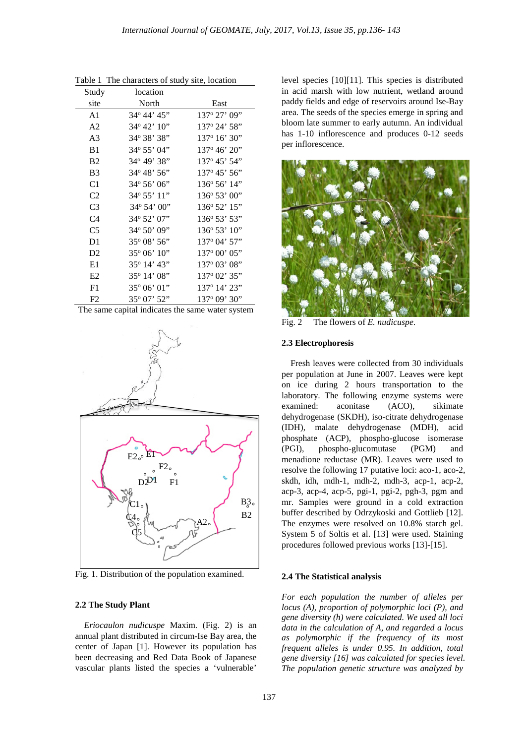| Study          | location               |                          |
|----------------|------------------------|--------------------------|
| site           | North                  | East                     |
| A <sub>1</sub> | 34° 44' 45"            | 137° 27' 09"             |
| A <sub>2</sub> | $34^{\circ} 42' 10''$  | 137° 24' 58"             |
| A <sub>3</sub> | 34° 38' 38"            | $137^{\circ} 16' 30''$   |
| B <sub>1</sub> | 34° 55' 04"            | $137^{\circ} 46' 20''$   |
| B <sub>2</sub> | 34° 49' 38"            | 137° 45' 54"             |
| B <sub>3</sub> | $34^{\circ} 48' 56''$  | $137^{\circ} 45' 56''$   |
| C1             | $34^{\circ} 56' 06'$   | $136^{\circ} 56' 14"$    |
| C <sub>2</sub> | $34^{\circ} 55' 11''$  | $136^{\circ} 53' 00''$   |
| C <sub>3</sub> | $34^{\circ} 54' 00''$  | $136^{\circ} 52' 15''$   |
| C <sub>4</sub> | 34° 52' 07"            | 136° 53' 53"             |
| C <sub>5</sub> | 34° 50' 09"            | $136^{\circ} 53' 10''$   |
| D <sub>1</sub> | $35^{\circ}08'$ 56"    | 137° 04' 57"             |
| D2             | $35^{\circ} 06' 10''$  | $137^{\circ} 00' 05"$    |
| E1             | 35° 14' 43"            | $137^{\circ} 03' 08''$   |
| E2             | $35^{\circ}$ 14' 08"   | 137 <sup>°</sup> 02' 35" |
| F1             | $35^{\circ} 06' 01''$  | 137° 14' 23''            |
| F2             | $35^{\circ}$ 07' $52"$ | 137 <sup>°</sup> 09' 30" |

Table 1 The characters of study site, location

The same capital indicates the same water system



Fig. 1. Distribution of the population examined.

#### **2.2 The Study Plant**

*Eriocaulon nudicuspe* Maxim. (Fig. 2) is an annual plant distributed in circum-Ise Bay area, the center of Japan [1]. However its population has been decreasing and Red Data Book of Japanese vascular plants listed the species a 'vulnerable'

level species [10][11]. This species is distributed in acid marsh with low nutrient, wetland around paddy fields and edge of reservoirs around Ise-Bay area. The seeds of the species emerge in spring and bloom late summer to early autumn. An individual has 1-10 inflorescence and produces 0-12 seeds per inflorescence.



Fig. 2 The flowers of *E. nudicuspe*.

#### **2.3 Electrophoresis**

Fresh leaves were collected from 30 individuals per population at June in 2007. Leaves were kept on ice during 2 hours transportation to the laboratory. The following enzyme systems were examined: aconitase (ACO), sikimate dehydrogenase (SKDH), iso-citrate dehydrogenase (IDH), malate dehydrogenase (MDH), acid phosphate (ACP), phospho-glucose isomerase (PGI), phospho-glucomutase (PGM) and menadione reductase (MR). Leaves were used to resolve the following 17 putative loci: aco-1, aco-2, skdh, idh, mdh-1, mdh-2, mdh-3, acp-1, acp-2, acp-3, acp-4, acp-5, pgi-1, pgi-2, pgh-3, pgm and mr. Samples were ground in a cold extraction buffer described by Odrzykoski and Gottlieb [12]. The enzymes were resolved on 10.8% starch gel. System 5 of Soltis et al. [13] were used. Staining procedures followed previous works [13]-[15].

#### **2.4 The Statistical analysis**

*For each population the number of alleles per locus (A), proportion of polymorphic loci (P), and gene diversity (h) were calculated. We used all loci data in the calculation of A, and regarded a locus as polymorphic if the frequency of its most frequent alleles is under 0.95. In addition, total gene diversity [16] was calculated for species level. The population genetic structure was analyzed by*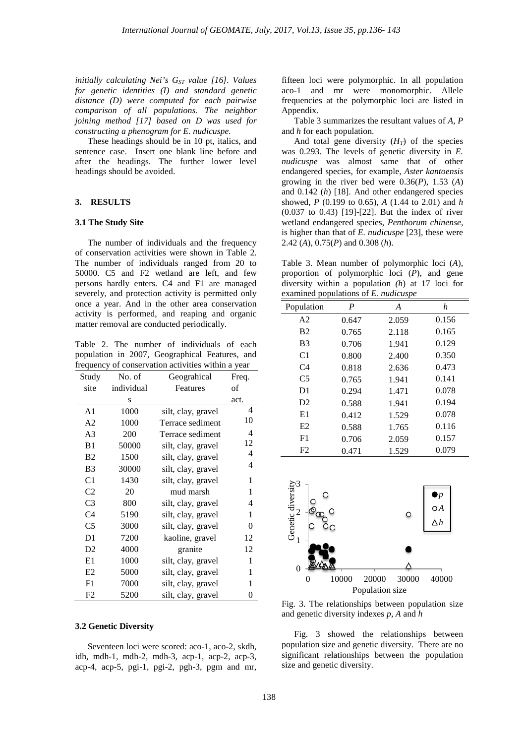*initially calculating Nei's G<sub>ST</sub> value [16]. Values for genetic identities (I) and standard genetic distance (D) were computed for each pairwise comparison of all populations. The neighbor joining method [17] based on D was used for constructing a phenogram for E. nudicuspe.*

These headings should be in 10 pt, italics, and sentence case. Insert one blank line before and after the headings. The further lower level headings should be avoided.

#### **3. RESULTS**

#### **3.1 The Study Site**

The number of individuals and the frequency of conservation activities were shown in Table 2. The number of individuals ranged from 20 to 50000. C5 and F2 wetland are left, and few persons hardly enters. C4 and F1 are managed severely, and protection activity is permitted only once a year. And in the other area conservation activity is performed, and reaping and organic matter removal are conducted periodically.

Table 2. The number of individuals of each population in 2007, Geographical Features, and frequency of conservation activities within a year

| Study          | No. of     | Geograhical        | Freq.          |
|----------------|------------|--------------------|----------------|
| site           | individual | Features           | οf             |
|                | S          |                    | act.           |
| A1             | 1000       | silt, clay, gravel | 4              |
| A <sub>2</sub> | 1000       | Terrace sediment   | 10             |
| A <sub>3</sub> | 200        | Terrace sediment   | 4              |
| B <sub>1</sub> | 50000      | silt, clay, gravel | 12             |
| <b>B2</b>      | 1500       | silt, clay, gravel | 4              |
| B <sub>3</sub> | 30000      | silt, clay, gravel | 4              |
| C <sub>1</sub> | 1430       | silt, clay, gravel | 1              |
| C <sub>2</sub> | 20         | mud marsh          | 1              |
| C3             | 800        | silt, clay, gravel | 4              |
| C <sub>4</sub> | 5190       | silt, clay, gravel | 1              |
| C <sub>5</sub> | 3000       | silt, clay, gravel | $\overline{0}$ |
| D1             | 7200       | kaoline, gravel    | 12             |
| D2             | 4000       | granite            | 12             |
| E1             | 1000       | silt, clay, gravel | 1              |
| E2             | 5000       | silt, clay, gravel | 1              |
| F1             | 7000       | silt, clay, gravel | 1              |
| F2             | 5200       | silt, clay, gravel | 0              |

#### **3.2 Genetic Diversity**

Seventeen loci were scored: aco-1, aco-2, skdh, idh, mdh-1, mdh-2, mdh-3, acp-1, acp-2, acp-3, acp-4, acp-5, pgi-1, pgi-2, pgh-3, pgm and mr, fifteen loci were polymorphic. In all population aco-1 and mr were monomorphic. Allele frequencies at the polymorphic loci are listed in Appendix.

Table 3 summarizes the resultant values of *A, P* and *h* for each population.

And total gene diversity  $(H_T)$  of the species was 0.293. The levels of genetic diversity in *E. nudicuspe* was almost same that of other endangered species, for example, *Aster kantoensis* growing in the river bed were 0.36(*P*), 1.53 (*A*) and 0.142 (*h*) [18]. And other endangered species showed, *P* (0.199 to 0.65), *A* (1.44 to 2.01) and *h*  (0.037 to 0.43) [19]-[22]. But the index of river wetland endangered species, *Penthorum chinense,*  is higher than that of *E. nudicuspe* [23], these were 2.42 (*A*), 0.75(*P*) and 0.308 (*h*).

Table 3. Mean number of polymorphic loci (*A*), proportion of polymorphic loci (*P*), and gene diversity within a population *(h*) at 17 loci for examined populations of *E. nudicuspe*

| Population     | P     | A     | h     |  |  |
|----------------|-------|-------|-------|--|--|
| A <sub>2</sub> | 0.647 | 2.059 | 0.156 |  |  |
| B <sub>2</sub> | 0.765 | 2.118 | 0.165 |  |  |
| B <sub>3</sub> | 0.706 | 1.941 | 0.129 |  |  |
| C <sub>1</sub> | 0.800 | 2.400 | 0.350 |  |  |
| C <sub>4</sub> | 0.818 | 2.636 | 0.473 |  |  |
| C <sub>5</sub> | 0.765 | 1.941 | 0.141 |  |  |
| D <sub>1</sub> | 0.294 | 1.471 | 0.078 |  |  |
| D2             | 0.588 | 1.941 | 0.194 |  |  |
| E1             | 0.412 | 1.529 | 0.078 |  |  |
| E2             | 0.588 | 1.765 | 0.116 |  |  |
| F <sub>1</sub> | 0.706 | 2.059 | 0.157 |  |  |
| F2             | 0.471 | 1.529 | 0.079 |  |  |



Fig. 3. The relationships between population size and genetic diversity indexes *p, A* and *h*

Fig. 3 showed the relationships between population size and genetic diversity. There are no significant relationships between the population size and genetic diversity.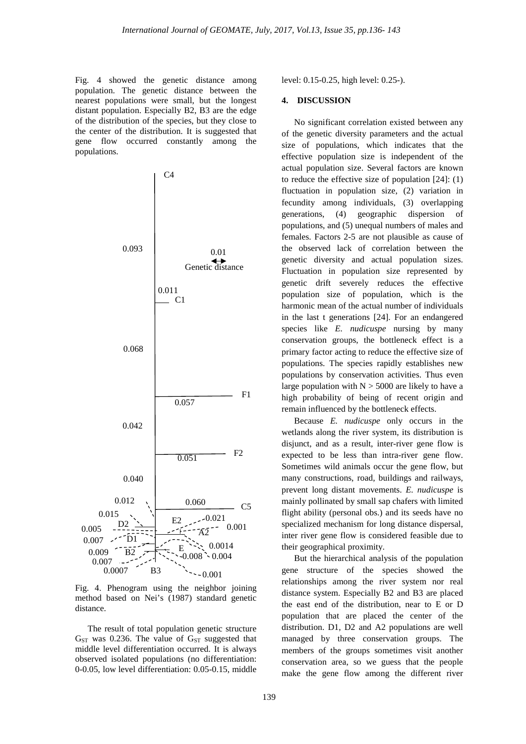Fig. 4 showed the genetic distance among population. The genetic distance between the nearest populations were small, but the longest distant population. Especially B2, B3 are the edge of the distribution of the species, but they close to the center of the distribution. It is suggested that gene flow occurred constantly among the populations.



Fig. 4. Phenogram using the neighbor joining method based on Nei's (1987) standard genetic distance.

The result of total population genetic structure  $G<sub>ST</sub>$  was 0.236. The value of  $G<sub>ST</sub>$  suggested that middle level differentiation occurred. It is always observed isolated populations (no differentiation: 0-0.05, low level differentiation: 0.05-0.15, middle level: 0.15-0.25, high level: 0.25-).

## **4. DISCUSSION**

No significant correlation existed between any of the genetic diversity parameters and the actual size of populations, which indicates that the effective population size is independent of the actual population size. Several factors are known to reduce the effective size of population [24]: (1) fluctuation in population size, (2) variation in fecundity among individuals, (3) overlapping generations, (4) geographic dispersion of populations, and (5) unequal numbers of males and females. Factors 2-5 are not plausible as cause of the observed lack of correlation between the genetic diversity and actual population sizes. Fluctuation in population size represented by genetic drift severely reduces the effective population size of population, which is the harmonic mean of the actual number of individuals in the last t generations [24]. For an endangered species like *E. nudicuspe* nursing by many conservation groups, the bottleneck effect is a primary factor acting to reduce the effective size of populations. The species rapidly establishes new populations by conservation activities. Thus even large population with  $N > 5000$  are likely to have a high probability of being of recent origin and remain influenced by the bottleneck effects.

Because *E. nudicuspe* only occurs in the wetlands along the river system, its distribution is disjunct, and as a result, inter-river gene flow is expected to be less than intra-river gene flow. Sometimes wild animals occur the gene flow, but many constructions, road, buildings and railways, prevent long distant movements. *E. nudicuspe* is mainly pollinated by small sap chafers with limited flight ability (personal obs.) and its seeds have no specialized mechanism for long distance dispersal, inter river gene flow is considered feasible due to their geographical proximity.

But the hierarchical analysis of the population gene structure of the species showed the relationships among the river system nor real distance system. Especially B2 and B3 are placed the east end of the distribution, near to E or D population that are placed the center of the distribution. D1, D2 and A2 populations are well managed by three conservation groups. The members of the groups sometimes visit another conservation area, so we guess that the people make the gene flow among the different river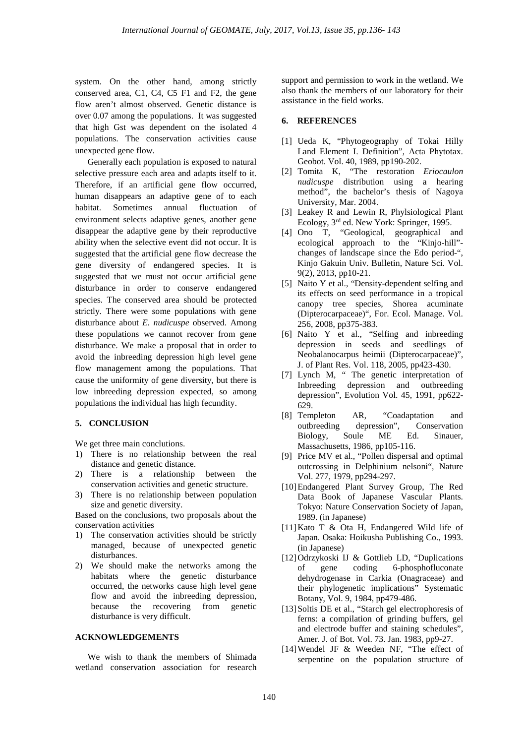system. On the other hand, among strictly conserved area, C1, C4, C5 F1 and F2, the gene flow aren't almost observed. Genetic distance is over 0.07 among the populations. It was suggested that high Gst was dependent on the isolated 4 populations. The conservation activities cause unexpected gene flow.

Generally each population is exposed to natural selective pressure each area and adapts itself to it. Therefore, if an artificial gene flow occurred, human disappears an adaptive gene of to each habitat. Sometimes annual fluctuation of environment selects adaptive genes, another gene disappear the adaptive gene by their reproductive ability when the selective event did not occur. It is suggested that the artificial gene flow decrease the gene diversity of endangered species. It is suggested that we must not occur artificial gene disturbance in order to conserve endangered species. The conserved area should be protected strictly. There were some populations with gene disturbance about *E. nudicuspe* observed. Among these populations we cannot recover from gene disturbance. We make a proposal that in order to avoid the inbreeding depression high level gene flow management among the populations. That cause the uniformity of gene diversity, but there is low inbreeding depression expected, so among populations the individual has high fecundity.

#### **5. CONCLUSION**

We get three main conclutions.

- 1) There is no relationship between the real distance and genetic distance.
- 2) There is a relationship between the conservation activities and genetic structure.
- 3) There is no relationship between population size and genetic diversity.

Based on the conclusions, two proposals about the conservation activities

- 1) The conservation activities should be strictly managed, because of unexpected genetic disturbances.
- 2) We should make the networks among the habitats where the genetic disturbance occurred, the networks cause high level gene flow and avoid the inbreeding depression, because the recovering from genetic disturbance is very difficult.

### **ACKNOWLEDGEMENTS**

We wish to thank the members of Shimada wetland conservation association for research support and permission to work in the wetland. We also thank the members of our laboratory for their assistance in the field works.

#### **6. REFERENCES**

- [1] Ueda K, "Phytogeography of Tokai Hilly Land Element I. Definition", Acta Phytotax. Geobot. Vol. 40, 1989, pp190-202.
- [2] Tomita K, "The restoration *Eriocaulon nudicuspe* distribution using a hearing method", the bachelor's thesis of Nagoya University, Mar. 2004.
- [3] Leakey R and Lewin R, Phylsiological Plant Ecology, 3rd ed. New York: Springer, 1995.
- [4] Ono T, "Geological, geographical and ecological approach to the "Kinjo-hill" changes of landscape since the Edo period-", Kinjo Gakuin Univ. Bulletin, Nature Sci. Vol. 9(2), 2013, pp10-21.
- [5] Naito Y et al., "Density-dependent selfing and its effects on seed performance in a tropical canopy tree species, Shorea acuminate (Dipterocarpaceae)", For. Ecol. Manage. Vol. 256, 2008, pp375-383.
- [6] Naito Y et al., "Selfing and inbreeding depression in seeds and seedlings of Neobalanocarpus heimii (Dipterocarpaceae)", J. of Plant Res. Vol. 118, 2005, pp423-430.
- [7] Lynch M, " The genetic interpretation of Independent of the sense memphement of the sense of the sense of the sense of the sense of the sense of the sense of the sense of the sense of the sense of the sense of the sense of the sense of the sense of the sense of t depression", Evolution Vol. 45, 1991, pp622- 629.
- [8] Templeton AR, "Coadaptation and outbreeding depression", Conservation Biology, Soule ME Ed. Sinauer, Massachusetts, 1986, pp105-116.
- [9] Price MV et al., "Pollen dispersal and optimal outcrossing in Delphinium nelsoni", Nature Vol. 277, 1979, pp294-297.
- [10]Endangered Plant Survey Group, The Red Data Book of Japanese Vascular Plants. Tokyo: Nature Conservation Society of Japan, 1989. (in Japanese)
- [11]Kato T & Ota H, Endangered Wild life of Japan. Osaka: Hoikusha Publishing Co., 1993. (in Japanese)
- [12]Odrzykoski IJ & Gottlieb LD, "Duplications of gene coding 6-phosphofluconate dehydrogenase in Carkia (Onagraceae) and their phylogenetic implications" Systematic Botany, Vol. 9, 1984, pp479-486.
- [13] Soltis DE et al., "Starch gel electrophoresis of ferns: a compilation of grinding buffers, gel and electrode buffer and staining schedules", Amer. J. of Bot. Vol. 73. Jan. 1983, pp9-27.
- [14]Wendel JF & Weeden NF, "The effect of serpentine on the population structure of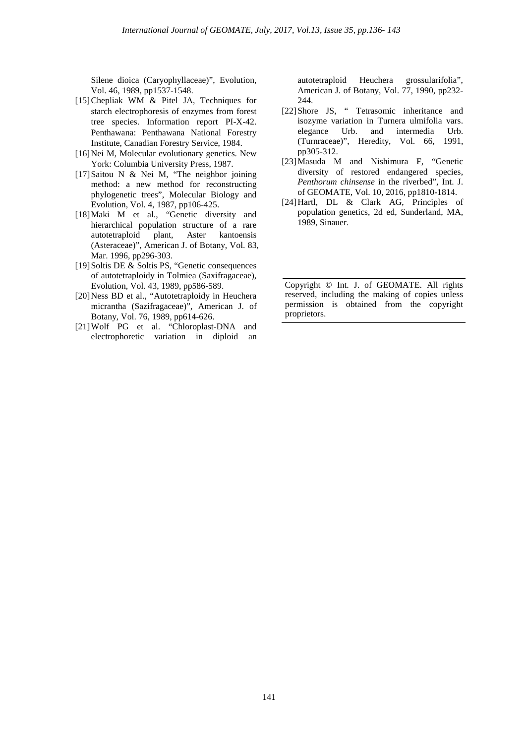Silene dioica (Caryophyllaceae)", Evolution, Vol. 46, 1989, pp1537-1548.

- [15]Chepliak WM & Pitel JA, Techniques for starch electrophoresis of enzymes from forest tree species. Information report PI-X-42. Penthawana: Penthawana National Forestry Institute, Canadian Forestry Service, 1984.
- [16] Nei M, Molecular evolutionary genetics. New York: Columbia University Press, 1987.
- [17]Saitou N & Nei M, "The neighbor joining method: a new method for reconstructing phylogenetic trees", Molecular Biology and Evolution, Vol. 4, 1987, pp106-425.
- [18]Maki M et al., "Genetic diversity and hierarchical population structure of a rare autotetraploid plant, Aster kantoensis (Asteraceae)", American J. of Botany, Vol. 83, Mar. 1996, pp296-303.
- [19]Soltis DE & Soltis PS, "Genetic consequences of autotetraploidy in Tolmiea (Saxifragaceae), Evolution, Vol. 43, 1989, pp586-589.
- [20]Ness BD et al., "Autotetraploidy in Heuchera micrantha (Sazifragaceae)", American J. of Botany, Vol. 76, 1989, pp614-626.
- [21]Wolf PG et al. "Chloroplast-DNA and electrophoretic variation in diploid an

autotetraploid Heuchera grossularifolia", American J. of Botany, Vol. 77, 1990, pp232- 244.

- [22]Shore JS, " Tetrasomic inheritance and isozyme variation in Turnera ulmifolia vars. elegance Urb. and intermedia Urb. (Turnraceae)", Heredity, Vol. 66, 1991, pp305-312.
- [23]Masuda M and Nishimura F, "Genetic diversity of restored endangered species, *Penthorum chinsense* in the riverbed", Int. J. of GEOMATE, Vol. 10, 2016, pp1810-1814.
- [24]Hartl, DL & Clark AG, Principles of population genetics, 2d ed, Sunderland, MA, 1989, Sinauer.

Copyright © Int. J. of GEOMATE. All rights reserved, including the making of copies unless permission is obtained from the copyright proprietors.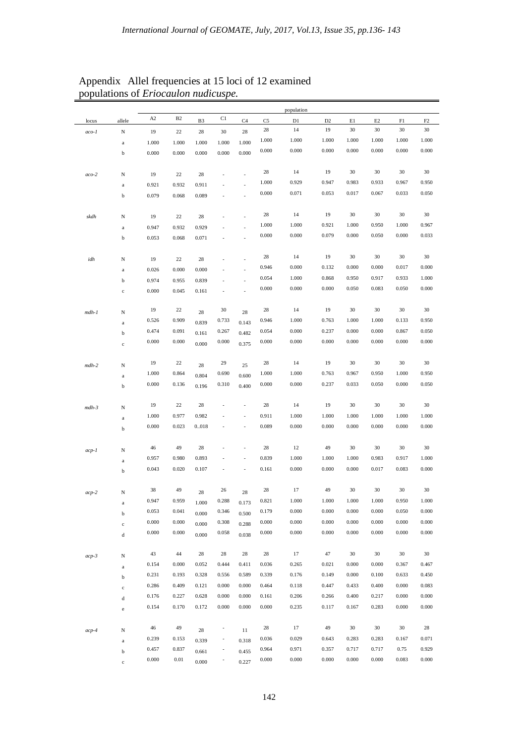|            |                            |       |           |                |                          |                |                | population |                |       |          |       |       |
|------------|----------------------------|-------|-----------|----------------|--------------------------|----------------|----------------|------------|----------------|-------|----------|-------|-------|
| locus      | allele                     | A2    | <b>B2</b> | B <sub>3</sub> | C1                       | C4             | C <sub>5</sub> | D1         | D <sub>2</sub> | E1    | $\rm E2$ | F1    | F2    |
| $aco-I$    | $_{\rm N}$                 | 19    | 22        | 28             | 30                       | 28             | 28             | 14         | 19             | 30    | 30       | 30    | 30    |
|            | $\rm{a}$                   | 1.000 | 1.000     | 1.000          | 1.000                    | 1.000          | 1.000          | 1.000      | 1.000          | 1.000 | 1.000    | 1.000 | 1.000 |
|            | $\mathbf b$                | 0.000 | 0.000     | 0.000          | 0.000                    | 0.000          | 0.000          | 0.000      | 0.000          | 0.000 | 0.000    | 0.000 | 0.000 |
| $aco-2$    | N                          | 19    | 22        | 28             |                          |                | 28             | 14         | 19             | 30    | 30       | 30    | 30    |
|            | $\rm{a}$                   | 0.921 | 0.932     | 0.911          |                          |                | 1.000          | 0.929      | 0.947          | 0.983 | 0.933    | 0.967 | 0.950 |
|            | $\mathbf b$                | 0.079 | 0.068     | 0.089          |                          |                | 0.000          | 0.071      | 0.053          | 0.017 | 0.067    | 0.033 | 0.050 |
|            |                            |       |           |                |                          |                | 28             | 14         | 19             | 30    | 30       | 30    | 30    |
| skdh       | N                          | 19    | 22        | 28             |                          |                |                |            |                |       |          |       |       |
|            | $\rm{a}$                   | 0.947 | 0.932     | 0.929          |                          |                | 1.000          | 1.000      | 0.921          | 1.000 | 0.950    | 1.000 | 0.967 |
|            | $\mathbf b$                | 0.053 | 0.068     | 0.071          |                          |                | 0.000          | 0.000      | 0.079          | 0.000 | 0.050    | 0.000 | 0.033 |
| idh        | N                          | 19    | 22        | 28             |                          |                | 28             | 14         | 19             | 30    | 30       | 30    | 30    |
|            | $\rm{a}$                   | 0.026 | 0.000     | 0.000          |                          |                | 0.946          | 0.000      | 0.132          | 0.000 | 0.000    | 0.017 | 0.000 |
|            | $\mathbf b$                | 0.974 | 0.955     | 0.839          |                          | L.             | 0.054          | 1.000      | 0.868          | 0.950 | 0.917    | 0.933 | 1.000 |
|            | $\mathbf c$                | 0.000 | 0.045     | 0.161          |                          | $\overline{a}$ | 0.000          | 0.000      | 0.000          | 0.050 | 0.083    | 0.050 | 0.000 |
| $mdh-1$    | N                          | 19    | 22        | 28             | 30                       | 28             | 28             | 14         | 19             | 30    | 30       | 30    | 30    |
|            | $\rm{a}$                   | 0.526 | 0.909     | 0.839          | 0.733                    | 0.143          | 0.946          | 1.000      | 0.763          | 1.000 | 1.000    | 0.133 | 0.950 |
|            | $\mathbf b$                | 0.474 | 0.091     | 0.161          | 0.267                    | 0.482          | 0.054          | 0.000      | 0.237          | 0.000 | 0.000    | 0.867 | 0.050 |
|            | $\mathbf c$                | 0.000 | 0.000     | 0.000          | 0.000                    | 0.375          | 0.000          | 0.000      | 0.000          | 0.000 | 0.000    | 0.000 | 0.000 |
|            |                            |       |           |                |                          |                |                |            |                |       |          |       |       |
| $mdh-2$    | $_{\rm N}$                 | 19    | 22        | 28             | 29                       | 25             | 28             | 14         | 19             | 30    | 30       | 30    | 30    |
|            | $\mathbf{a}$               | 1.000 | 0.864     | 0.804          | 0.690                    | 0.600          | 1.000          | 1.000      | 0.763          | 0.967 | 0.950    | 1.000 | 0.950 |
|            | $\mathbf b$                | 0.000 | 0.136     | 0.196          | 0.310                    | 0.400          | 0.000          | 0.000      | 0.237          | 0.033 | 0.050    | 0.000 | 0.050 |
| $mdh-3$    | N                          | 19    | 22        | 28             |                          | $\overline{a}$ | 28             | 14         | 19             | 30    | 30       | 30    | 30    |
|            | $\mathbf{a}$               | 1.000 | 0.977     | 0.982          |                          | $\overline{a}$ | 0.911          | 1.000      | 1.000          | 1.000 | 1.000    | 1.000 | 1.000 |
|            | $\rm b$                    | 0.000 | 0.023     | 0018           |                          | ٠              | 0.089          | 0.000      | 0.000          | 0.000 | 0.000    | 0.000 | 0.000 |
|            |                            | 46    | 49        | 28             |                          | $\overline{a}$ | 28             | 12         | 49             | 30    | 30       | 30    | 30    |
| $acp-1$    | N                          | 0.957 | 0.980     | 0.893          |                          |                | 0.839          | 1.000      | 1.000          | 1.000 | 0.983    | 0.917 | 1.000 |
|            | $\rm{a}$<br>$\rm b$        | 0.043 | 0.020     | 0.107          |                          |                | 0.161          | 0.000      | 0.000          | 0.000 | 0.017    | 0.083 | 0.000 |
|            |                            | 38    | 49        |                | 26                       |                | 28             | 17         | 49             | 30    | 30       | 30    | 30    |
| $_{acp-2}$ | N                          | 0.947 | 0.959     | 28             | 0.288                    | 28             | 0.821          | 1.000      | 1.000          | 1.000 | 1.000    | 0.950 | 1.000 |
|            | $\rm{a}$                   | 0.053 | 0.041     | 1.000          | 0.346                    | 0.173          | 0.179          | 0.000      | 0.000          | 0.000 | 0.000    | 0.050 | 0.000 |
|            | $\mathbf b$                | 0.000 | 0.000     | 0.000          | 0.308                    | 0.500          | 0.000          | 0.000      | 0.000          | 0.000 | 0.000    | 0.000 | 0.000 |
|            | $\mathbf c$<br>$\mathbf d$ | 0.000 | 0.000     | 0.000<br>0.000 | 0.058                    | 0.288<br>0.038 | 0.000          | 0.000      | 0.000          | 0.000 | 0.000    | 0.000 | 0.000 |
|            |                            |       |           |                |                          |                |                |            |                |       |          |       |       |
| $acp-3$    | $_{\rm N}$                 | 43    | 44        | 28             | 28                       | 28             | 28             | 17         | 47             | 30    | 30       | 30    | 30    |
|            | $\rm{a}$                   | 0.154 | 0.000     | 0.052          | 0.444                    | 0.411          | 0.036          | 0.265      | 0.021          | 0.000 | 0.000    | 0.367 | 0.467 |
|            | $\mathbf b$                | 0.231 | 0.193     | 0.328          | 0.556                    | 0.589          | 0.339          | 0.176      | 0.149          | 0.000 | 0.100    | 0.633 | 0.450 |
|            | $\rm c$                    | 0.286 | 0.409     | 0.121          | 0.000                    | 0.000          | 0.464          | 0.118      | 0.447          | 0.433 | 0.400    | 0.000 | 0.083 |
|            | $\rm d$                    | 0.176 | 0.227     | 0.628          | 0.000                    | 0.000          | 0.161          | 0.206      | 0.266          | 0.400 | 0.217    | 0.000 | 0.000 |
|            | $\rm e$                    | 0.154 | 0.170     | 0.172          | 0.000                    | 0.000          | 0.000          | 0.235      | 0.117          | 0.167 | 0.283    | 0.000 | 0.000 |
| $acp-4$    | N                          | 46    | 49        | 28             | ,                        | 11             | 28             | 17         | 49             | 30    | 30       | 30    | 28    |
|            | $\rm{a}$                   | 0.239 | 0.153     | 0.339          | $\overline{\phantom{a}}$ | 0.318          | 0.036          | 0.029      | 0.643          | 0.283 | 0.283    | 0.167 | 0.071 |
|            | $\mathbf b$                | 0.457 | 0.837     | 0.661          | $\overline{\phantom{a}}$ | 0.455          | 0.964          | 0.971      | 0.357          | 0.717 | 0.717    | 0.75  | 0.929 |
|            |                            | 0.000 | 0.01      |                |                          |                |                |            | 0.000          | 0.000 | 0.000    | 0.083 | 0.000 |
|            | $\mathbf c$                |       |           | 0.000          | ٠                        | 0.227          | 0.000          | 0.000      |                |       |          |       |       |

## Appendix Allel frequencies at 15 loci of 12 examined populations of *Eriocaulon nudicuspe.*